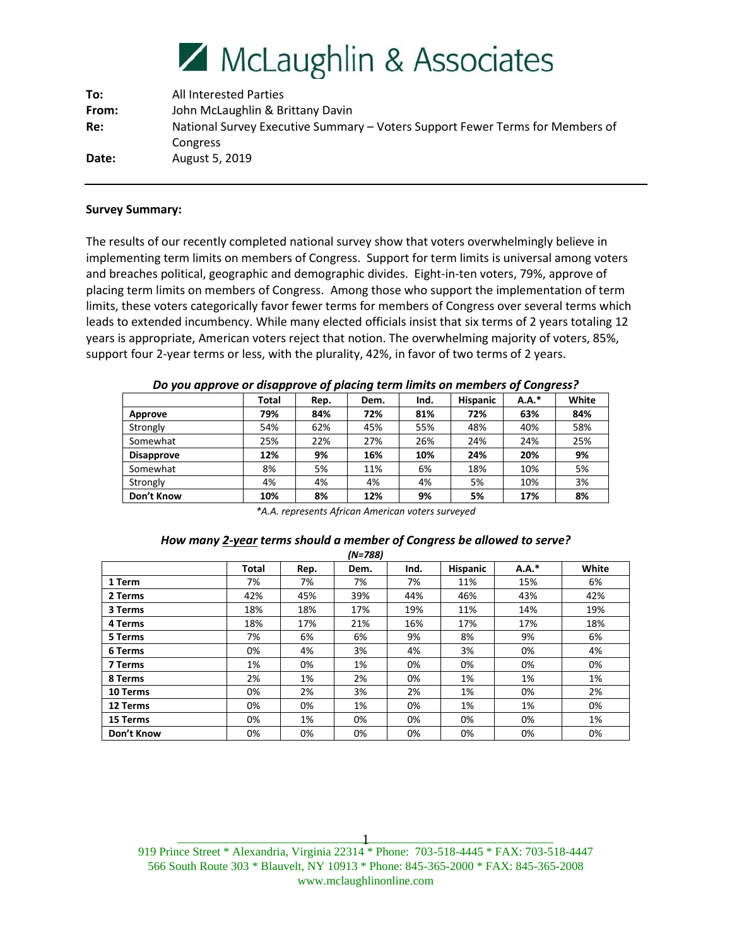# McLaughlin & Associates

| To:   | <b>All Interested Parties</b>                                                 |
|-------|-------------------------------------------------------------------------------|
| From: | John McLaughlin & Brittany Davin                                              |
| Re:   | National Survey Executive Summary – Voters Support Fewer Terms for Members of |
|       | Congress                                                                      |
| Date: | August 5, 2019                                                                |

# **Survey Summary:**

The results of our recently completed national survey show that voters overwhelmingly believe in implementing term limits on members of Congress. Support for term limits is universal among voters and breaches political, geographic and demographic divides. Eight-in-ten voters, 79%, approve of placing term limits on members of Congress. Among those who support the implementation of term limits, these voters categorically favor fewer terms for members of Congress over several terms which leads to extended incumbency. While many elected officials insist that six terms of 2 years totaling 12 years is appropriate, American voters reject that notion. The overwhelming majority of voters, 85%, support four 2-year terms or less, with the plurality, 42%, in favor of two terms of 2 years.

|                   | <b>Total</b> | Rep. | Dem. | Ind. | <b>Hispanic</b> | $A.A.*$ | White |
|-------------------|--------------|------|------|------|-----------------|---------|-------|
| Approve           | 79%          | 84%  | 72%  | 81%  | 72%             | 63%     | 84%   |
| Strongly          | 54%          | 62%  | 45%  | 55%  | 48%             | 40%     | 58%   |
| Somewhat          | 25%          | 22%  | 27%  | 26%  | 24%             | 24%     | 25%   |
| <b>Disapprove</b> | 12%          | 9%   | 16%  | 10%  | 24%             | 20%     | 9%    |
| Somewhat          | 8%           | 5%   | 11%  | 6%   | 18%             | 10%     | 5%    |
| Strongly          | 4%           | 4%   | 4%   | 4%   | 5%              | 10%     | 3%    |
| Don't Know        | 10%          | 8%   | 12%  | 9%   | 5%              | 17%     | 8%    |

*Do you approve or disapprove of placing term limits on members of Congress?*

*\*A.A. represents African American voters surveyed*

## *How many 2-year terms should a member of Congress be allowed to serve? (N=788)*

|            |              |      | $(19 - 700)$ |      |                 |         |       |
|------------|--------------|------|--------------|------|-----------------|---------|-------|
|            | <b>Total</b> | Rep. | Dem.         | Ind. | <b>Hispanic</b> | $A.A.*$ | White |
| 1 Term     | 7%           | 7%   | 7%           | 7%   | 11%             | 15%     | 6%    |
| 2 Terms    | 42%          | 45%  | 39%          | 44%  | 46%             | 43%     | 42%   |
| 3 Terms    | 18%          | 18%  | 17%          | 19%  | 11%             | 14%     | 19%   |
| 4 Terms    | 18%          | 17%  | 21%          | 16%  | 17%             | 17%     | 18%   |
| 5 Terms    | 7%           | 6%   | 6%           | 9%   | 8%              | 9%      | 6%    |
| 6 Terms    | 0%           | 4%   | 3%           | 4%   | 3%              | 0%      | 4%    |
| 7 Terms    | 1%           | 0%   | 1%           | 0%   | 0%              | 0%      | 0%    |
| 8 Terms    | 2%           | 1%   | 2%           | 0%   | 1%              | 1%      | 1%    |
| 10 Terms   | 0%           | 2%   | 3%           | 2%   | 1%              | 0%      | 2%    |
| 12 Terms   | 0%           | 0%   | 1%           | 0%   | 1%              | 1%      | 0%    |
| 15 Terms   | 0%           | 1%   | 0%           | 0%   | 0%              | 0%      | 1%    |
| Don't Know | 0%           | 0%   | 0%           | 0%   | 0%              | 0%      | 0%    |